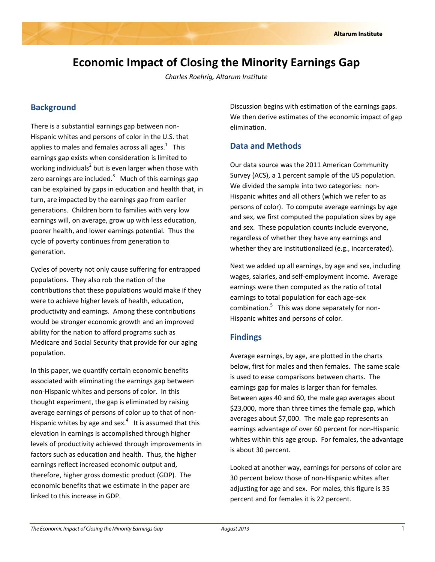# **Economic Impact of Closing the Minority Earnings Gap**

*Charles Roehrig, Altarum Institute*

### **Background**

There is a substantial earnings gap between non‐ Hispanic whites and persons of color in the U.S. that applies to males and females across all ages. $^1$  This earnings gap exists when consideration is limited to working individuals<sup>2</sup> but is even larger when those with zero earnings are included. $^3$  Much of this earnings gap can be explained by gaps in education and health that, in turn, are impacted by the earnings gap from earlier generations. Children born to families with very low earnings will, on average, grow up with less education, poorer health, and lower earnings potential. Thus the cycle of poverty continues from generation to generation.

Cycles of poverty not only cause suffering for entrapped populations. They also rob the nation of the contributions that these populations would make if they were to achieve higher levels of health, education, productivity and earnings. Among these contributions would be stronger economic growth and an improved ability for the nation to afford programs such as Medicare and Social Security that provide for our aging population.

In this paper, we quantify certain economic benefits associated with eliminating the earnings gap between non‐Hispanic whites and persons of color. In this thought experiment, the gap is eliminated by raising average earnings of persons of color up to that of non‐ Hispanic whites by age and sex. $4$  It is assumed that this elevation in earnings is accomplished through higher levels of productivity achieved through improvements in factors such as education and health. Thus, the higher earnings reflect increased economic output and, therefore, higher gross domestic product (GDP). The economic benefits that we estimate in the paper are linked to this increase in GDP.

Discussion begins with estimation of the earnings gaps. We then derive estimates of the economic impact of gap elimination.

## **Data and Methods**

Our data source was the 2011 American Community Survey (ACS), a 1 percent sample of the US population. We divided the sample into two categories: non-Hispanic whites and all others (which we refer to as persons of color). To compute average earnings by age and sex, we first computed the population sizes by age and sex. These population counts include everyone, regardless of whether they have any earnings and whether they are institutionalized (e.g., incarcerated).

Next we added up all earnings, by age and sex, including wages, salaries, and self‐employment income. Average earnings were then computed as the ratio of total earnings to total population for each age‐sex combination.<sup>5</sup> This was done separately for non-Hispanic whites and persons of color.

#### **Findings**

Average earnings, by age, are plotted in the charts below, first for males and then females. The same scale is used to ease comparisons between charts. The earnings gap for males is larger than for females. Between ages 40 and 60, the male gap averages about \$23,000, more than three times the female gap, which averages about \$7,000. The male gap represents an earnings advantage of over 60 percent for non‐Hispanic whites within this age group. For females, the advantage is about 30 percent.

Looked at another way, earnings for persons of color are 30 percent below those of non‐Hispanic whites after adjusting for age and sex. For males, this figure is 35 percent and for females it is 22 percent.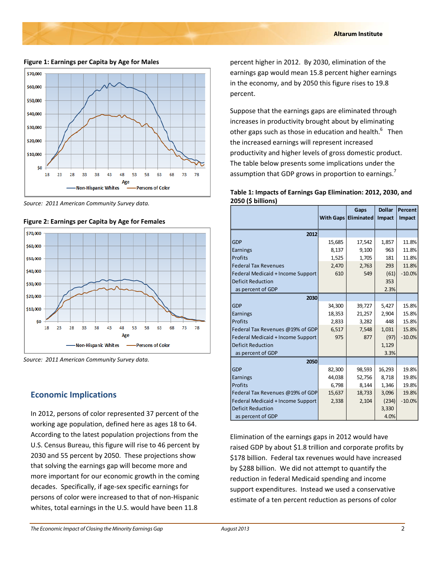**Figure 1: Earnings per Capita by Age for Males**



*Source: 2011 American Community Survey data.*





*Source: 2011 American Community Survey data.*

#### **Economic Implications**

In 2012, persons of color represented 37 percent of the working age population, defined here as ages 18 to 64. According to the latest population projections from the U.S. Census Bureau, this figure will rise to 46 percent by 2030 and 55 percent by 2050. These projections show that solving the earnings gap will become more and more important for our economic growth in the coming decades. Specifically, if age‐sex specific earnings for persons of color were increased to that of non‐Hispanic whites, total earnings in the U.S. would have been 11.8

percent higher in 2012. By 2030, elimination of the earnings gap would mean 15.8 percent higher earnings in the economy, and by 2050 this figure rises to 19.8 percent.

Suppose that the earnings gaps are eliminated through increases in productivity brought about by eliminating other gaps such as those in education and health.<sup>6</sup> Then the increased earnings will represent increased productivity and higher levels of gross domestic product. The table below presents some implications under the assumption that GDP grows in proportion to earnings.<sup>7</sup>

| Table 1: Impacts of Earnings Gap Elimination: 2012, 2030, and |  |
|---------------------------------------------------------------|--|
| 2050 (\$ billions)                                            |  |

|                                   |        | Gaps                        | <b>Dollar</b> | Percent  |
|-----------------------------------|--------|-----------------------------|---------------|----------|
|                                   |        | <b>With Gaps Eliminated</b> | Impact        | Impact   |
|                                   |        |                             |               |          |
| 2012                              |        |                             |               |          |
| <b>GDP</b>                        | 15,685 | 17,542                      | 1,857         | 11.8%    |
| Earnings                          | 8,137  | 9,100                       | 963           | 11.8%    |
| Profits                           | 1,525  | 1,705                       | 181           | 11.8%    |
| <b>Federal Tax Revenues</b>       | 2,470  | 2,763                       | 293           | 11.8%    |
| Federal Medicaid + Income Support | 610    | 549                         | (61)          | $-10.0%$ |
| <b>Deficit Reduction</b>          |        |                             | 353           |          |
| as percent of GDP                 |        |                             | 2.3%          |          |
| 2030                              |        |                             |               |          |
| <b>GDP</b>                        | 34,300 | 39,727                      | 5,427         | 15.8%    |
| Earnings                          | 18,353 | 21,257                      | 2,904         | 15.8%    |
| Profits                           | 2,833  | 3,282                       | 448           | 15.8%    |
| Federal Tax Revenues @19% of GDP  | 6,517  | 7,548                       | 1,031         | 15.8%    |
| Federal Medicaid + Income Support | 975    | 877                         | (97)          | $-10.0%$ |
| <b>Deficit Reduction</b>          |        |                             | 1,129         |          |
| as percent of GDP                 |        |                             | 3.3%          |          |
| 2050                              |        |                             |               |          |
| GDP                               | 82,300 | 98,593                      | 16,293        | 19.8%    |
| Earnings                          | 44,038 | 52,756                      | 8,718         | 19.8%    |
| Profits                           | 6,798  | 8,144                       | 1,346         | 19.8%    |
| Federal Tax Revenues @19% of GDP  | 15,637 | 18,733                      | 3,096         | 19.8%    |
| Federal Medicaid + Income Support | 2,338  | 2,104                       | (234)         | $-10.0%$ |
| <b>Deficit Reduction</b>          |        |                             | 3,330         |          |
| as percent of GDP                 |        |                             | 4.0%          |          |

Elimination of the earnings gaps in 2012 would have raised GDP by about \$1.8 trillion and corporate profits by \$178 billion. Federal tax revenues would have increased by \$288 billion. We did not attempt to quantify the reduction in federal Medicaid spending and income support expenditures. Instead we used a conservative estimate of a ten percent reduction as persons of color